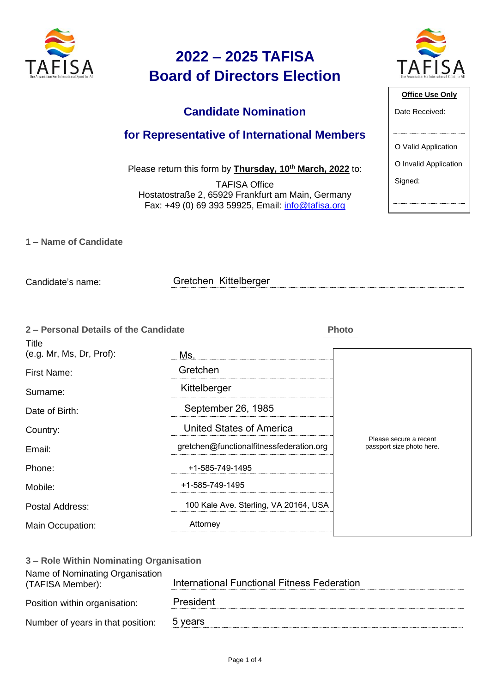

### **Candidate Nomination**

#### **for Representative of International Members**

Please return this form by **Thursday, 10th March, 2022** to:

TAFISA Office Hostatostraße 2, 65929 Frankfurt am Main, Germany Fax: +49 (0) 69 393 59925, Email: [info@tafisa.org](mailto:info@tafisa.net)

|  |  | 1 – Name of Candidate |
|--|--|-----------------------|
|  |  |                       |

Candidate's name:

Gretchen Kittelberger

| 2 - Personal Details of the Candidate    |                                          | <b>Photo</b>                                        |
|------------------------------------------|------------------------------------------|-----------------------------------------------------|
| <b>Title</b><br>(e.g. Mr, Ms, Dr, Prof): | Ms.                                      |                                                     |
| First Name:                              | Gretchen                                 |                                                     |
| Surname:                                 | Kittelberger                             |                                                     |
| Date of Birth:                           | September 26, 1985                       |                                                     |
| Country:                                 | <b>United States of America</b>          |                                                     |
| Email:                                   | gretchen@functionalfitnessfederation.org | Please secure a recent<br>passport size photo here. |
| Phone:                                   | +1-585-749-1495                          |                                                     |
| Mobile:                                  | +1-585-749-1495                          |                                                     |
| Postal Address:                          | 100 Kale Ave. Sterling, VA 20164, USA    |                                                     |
| Main Occupation:                         | Attorney                                 |                                                     |
|                                          |                                          |                                                     |

| 3 – Role Within Nominating Organisation             |                                             |
|-----------------------------------------------------|---------------------------------------------|
| Name of Nominating Organisation<br>(TAFISA Member): | International Functional Fitness Federation |
| Position within organisation:                       | President                                   |
| Number of years in that position:                   | 5 years                                     |



| Office Use Only       |
|-----------------------|
| Date Received:        |
|                       |
| O Valid Application   |
| O Invalid Application |
| Signed:               |
|                       |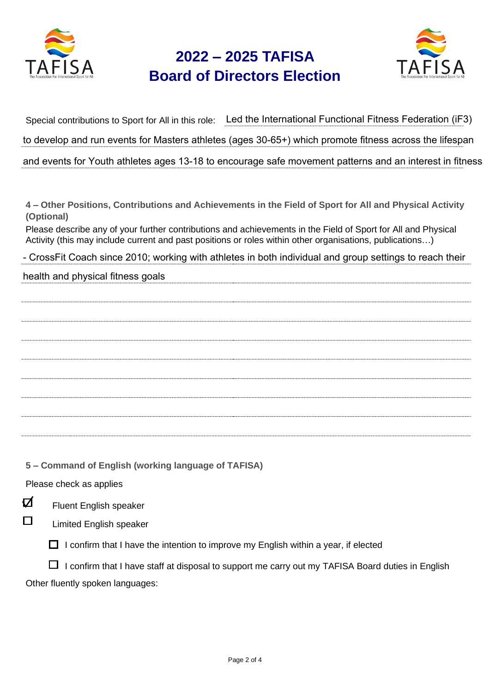



Special contributions to Sport for All in this role: Led the International Functional Fitness Federation (iF3) to develop and run events for Masters athletes (ages 30-65+) which promote fitness across the lifespan and events for Youth athletes ages 13-18 to encourage safe movement patterns and an interest in fitness

**4 – Other Positions, Contributions and Achievements in the Field of Sport for All and Physical Activity (Optional)**

Please describe any of your further contributions and achievements in the Field of Sport for All and Physical Activity (this may include current and past positions or roles within other organisations, publications…)

- CrossFit Coach since 2010; working with athletes in both individual and group settings to reach their

health and physical fitness goals

**5 – Command of English (working language of TAFISA)**

Please check as applies



Fluent English speaker

П

Limited English speaker

 $\Box$  I confirm that I have the intention to improve my English within a year, if elected

 $\Box$  I confirm that I have staff at disposal to support me carry out my TAFISA Board duties in English Other fluently spoken languages: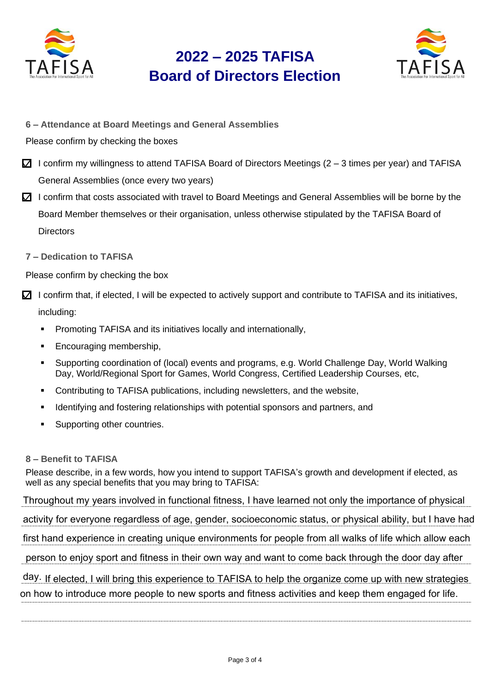



- **6 – Attendance at Board Meetings and General Assemblies**
- Please confirm by checking the boxes
- $\Box$  I confirm my willingness to attend TAFISA Board of Directors Meetings (2 3 times per year) and TAFISA General Assemblies (once every two years)
- $\boxtimes$  I confirm that costs associated with travel to Board Meetings and General Assemblies will be borne by the Board Member themselves or their organisation, unless otherwise stipulated by the TAFISA Board of **Directors**
- **7 – Dedication to TAFISA**

Please confirm by checking the box

- $\boxtimes$  I confirm that, if elected, I will be expected to actively support and contribute to TAFISA and its initiatives, including:
	- **•** Promoting TAFISA and its initiatives locally and internationally,
	- Encouraging membership,
	- Supporting coordination of (local) events and programs, e.g. World Challenge Day, World Walking Day, World/Regional Sport for Games, World Congress, Certified Leadership Courses, etc,
	- Contributing to TAFISA publications, including newsletters, and the website,
	- **•** Identifying and fostering relationships with potential sponsors and partners, and
	- Supporting other countries.

#### **8 – Benefit to TAFISA**

Please describe, in a few words, how you intend to support TAFISA's growth and development if elected, as well as any special benefits that you may bring to TAFISA:

Throughout my years involved in functional fitness, I have learned not only the importance of physical

activity for everyone regardless of age, gender, socioeconomic status, or physical ability, but I have had

first hand experience in creating unique environments for people from all walks of life which allow each

person to enjoy sport and fitness in their own way and want to come back through the door day after

day. If elected, I will bring this experience to TAFISA to help the organize come up with new strategies on how to introduce more people to new sports and fitness activities and keep them engaged for life.